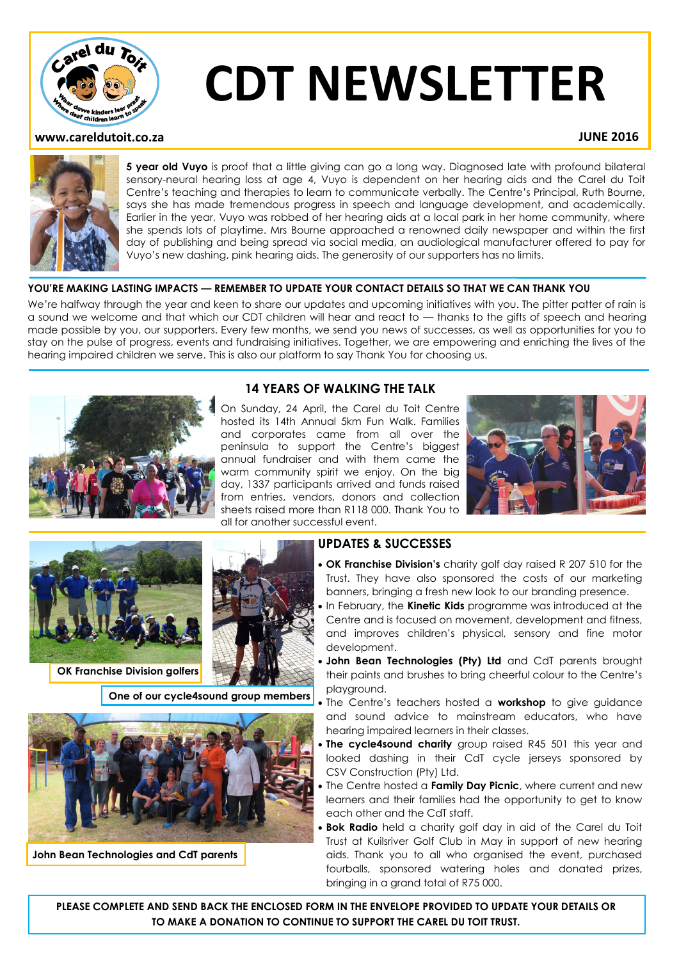

# **CDT NEWSLETTER**

# **www.careldutoit.co.za JUNE 2016**



**5 year old Vuyo** is proof that a little giving can go a long way. Diagnosed late with profound bilateral sensory-neural hearing loss at age 4, Vuyo is dependent on her hearing aids and the Carel du Toit Centre's teaching and therapies to learn to communicate verbally. The Centre's Principal, Ruth Bourne, says she has made tremendous progress in speech and language development, and academically. Earlier in the year, Vuyo was robbed of her hearing aids at a local park in her home community, where she spends lots of playtime. Mrs Bourne approached a renowned daily newspaper and within the first day of publishing and being spread via social media, an audiological manufacturer offered to pay for Vuyo's new dashing, pink hearing aids. The generosity of our supporters has no limits.

### **YOU'RE MAKING LASTING IMPACTS — REMEMBER TO UPDATE YOUR CONTACT DETAILS SO THAT WE CAN THANK YOU**

We're halfway through the year and keen to share our updates and upcoming initiatives with you. The pitter patter of rain is a sound we welcome and that which our CDT children will hear and react to — thanks to the gifts of speech and hearing made possible by you, our supporters. Every few months, we send you news of successes, as well as opportunities for you to stay on the pulse of progress, events and fundraising initiatives. Together, we are empowering and enriching the lives of the hearing impaired children we serve. This is also our platform to say Thank You for choosing us.



# **14 YEARS OF WALKING THE TALK**

On Sunday, 24 April, the Carel du Toit Centre hosted its 14th Annual 5km Fun Walk. Families and corporates came from all over the peninsula to support the Centre's biggest annual fundraiser and with them came the warm community spirit we enjoy. On the big day, 1337 participants arrived and funds raised from entries, vendors, donors and collection sheets raised more than R118 000. Thank You to all for another successful event.





**OK Franchise Division golfers**



**One of our cycle4sound group members**



**John Bean Technologies and CdT parents**

# **UPDATES & SUCCESSES**

- **OK Franchise Division's** charity golf day raised R 207 510 for the Trust. They have also sponsored the costs of our marketing banners, bringing a fresh new look to our branding presence.
- In February, the **Kinetic Kids** programme was introduced at the Centre and is focused on movement, development and fitness, and improves children's physical, sensory and fine motor development.
- **John Bean Technologies (Pty) Ltd** and CdT parents brought their paints and brushes to bring cheerful colour to the Centre's playground.
- The Centre's teachers hosted a **workshop** to give guidance and sound advice to mainstream educators, who have hearing impaired learners in their classes.
- **The cycle4sound charity** group raised R45 501 this year and looked dashing in their CdT cycle jerseys sponsored by CSV Construction (Pty) Ltd.
- The Centre hosted a **Family Day Picnic**, where current and new learners and their families had the opportunity to get to know each other and the CdT staff.
- **Bok Radio** held a charity golf day in aid of the Carel du Toit Trust at Kuilsriver Golf Club in May in support of new hearing aids. Thank you to all who organised the event, purchased fourballs, sponsored watering holes and donated prizes, bringing in a grand total of R75 000.

**PLEASE COMPLETE AND SEND BACK THE ENCLOSED FORM IN THE ENVELOPE PROVIDED TO UPDATE YOUR DETAILS OR TO MAKE A DONATION TO CONTINUE TO SUPPORT THE CAREL DU TOIT TRUST.**